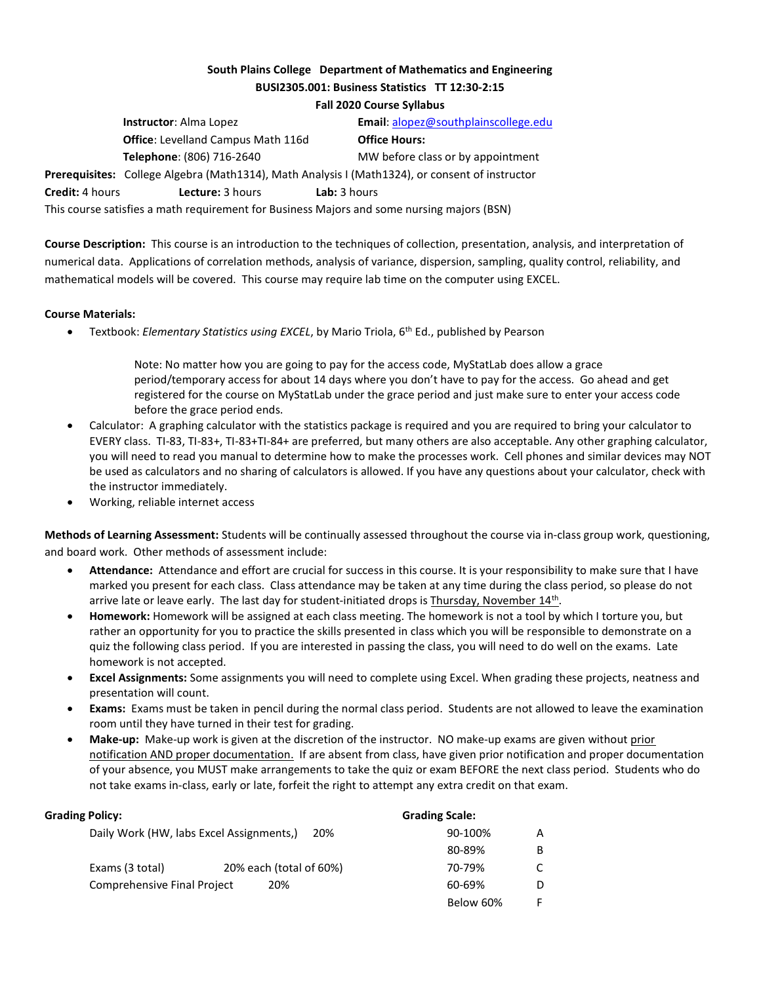# South Plains College Department of Mathematics and Engineering BUSI2305.001: Business Statistics TT 12:30-2:15

#### Fall 2020 Course Syllabus

|                                                                                            | <b>Instructor:</b> Alma Lopez             | Email: alopez@southplainscollege.edu                                                            |  |  |  |
|--------------------------------------------------------------------------------------------|-------------------------------------------|-------------------------------------------------------------------------------------------------|--|--|--|
|                                                                                            | <b>Office:</b> Levelland Campus Math 116d | <b>Office Hours:</b>                                                                            |  |  |  |
|                                                                                            | Telephone: (806) 716-2640                 | MW before class or by appointment                                                               |  |  |  |
|                                                                                            |                                           | Prerequisites: College Algebra (Math1314), Math Analysis I (Math1324), or consent of instructor |  |  |  |
| <b>Credit:</b> 4 hours                                                                     | Lecture: 3 hours                          | Lab: 3 hours                                                                                    |  |  |  |
| This course satisfies a math requirement for Business Majors and some nursing majors (BSN) |                                           |                                                                                                 |  |  |  |

Course Description: This course is an introduction to the techniques of collection, presentation, analysis, and interpretation of numerical data. Applications of correlation methods, analysis of variance, dispersion, sampling, quality control, reliability, and mathematical models will be covered. This course may require lab time on the computer using EXCEL.

### Course Materials:

• Textbook: Elementary Statistics using EXCEL, by Mario Triola, 6<sup>th</sup> Ed., published by Pearson

 Note: No matter how you are going to pay for the access code, MyStatLab does allow a grace period/temporary access for about 14 days where you don't have to pay for the access. Go ahead and get registered for the course on MyStatLab under the grace period and just make sure to enter your access code before the grace period ends.

- Calculator: A graphing calculator with the statistics package is required and you are required to bring your calculator to EVERY class. TI-83, TI-83+, TI-83+TI-84+ are preferred, but many others are also acceptable. Any other graphing calculator, you will need to read you manual to determine how to make the processes work. Cell phones and similar devices may NOT be used as calculators and no sharing of calculators is allowed. If you have any questions about your calculator, check with the instructor immediately.
- Working, reliable internet access

Methods of Learning Assessment: Students will be continually assessed throughout the course via in-class group work, questioning, and board work. Other methods of assessment include:

- Attendance: Attendance and effort are crucial for success in this course. It is your responsibility to make sure that I have marked you present for each class. Class attendance may be taken at any time during the class period, so please do not arrive late or leave early. The last day for student-initiated drops is Thursday, November 14<sup>th</sup>.
- Homework: Homework will be assigned at each class meeting. The homework is not a tool by which I torture you, but rather an opportunity for you to practice the skills presented in class which you will be responsible to demonstrate on a quiz the following class period. If you are interested in passing the class, you will need to do well on the exams. Late homework is not accepted.
- Excel Assignments: Some assignments you will need to complete using Excel. When grading these projects, neatness and presentation will count.
- Exams: Exams must be taken in pencil during the normal class period. Students are not allowed to leave the examination room until they have turned in their test for grading.
- Make-up: Make-up work is given at the discretion of the instructor. NO make-up exams are given without prior notification AND proper documentation. If are absent from class, have given prior notification and proper documentation of your absence, you MUST make arrangements to take the quiz or exam BEFORE the next class period. Students who do not take exams in-class, early or late, forfeit the right to attempt any extra credit on that exam.

| <b>Grading Policy:</b>             |                                                 | <b>Grading Scale:</b> |   |
|------------------------------------|-------------------------------------------------|-----------------------|---|
|                                    | Daily Work (HW, labs Excel Assignments,)<br>20% | 90-100%               | A |
|                                    |                                                 | 80-89%                | B |
| Exams (3 total)                    | 20% each (total of 60%)                         | 70-79%                |   |
| <b>Comprehensive Final Project</b> | 60-69%                                          | D                     |   |
|                                    |                                                 | Below 60%             |   |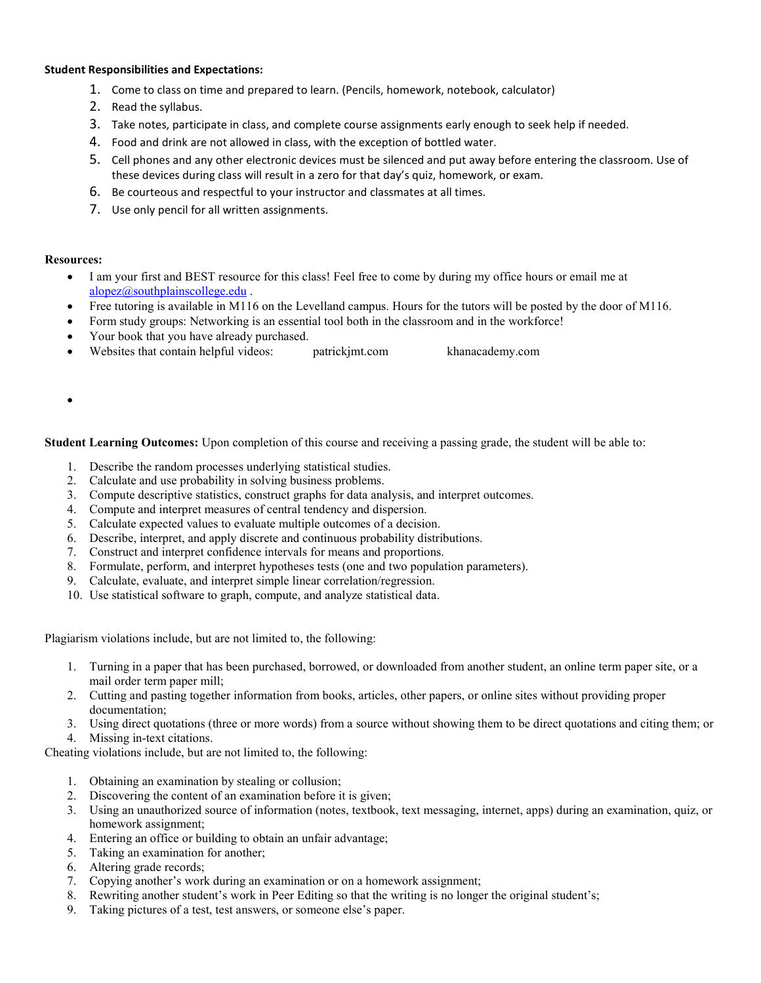#### Student Responsibilities and Expectations:

- 1. Come to class on time and prepared to learn. (Pencils, homework, notebook, calculator)
- 2. Read the syllabus.
- 3. Take notes, participate in class, and complete course assignments early enough to seek help if needed.
- 4. Food and drink are not allowed in class, with the exception of bottled water.
- 5. Cell phones and any other electronic devices must be silenced and put away before entering the classroom. Use of these devices during class will result in a zero for that day's quiz, homework, or exam.
- 6. Be courteous and respectful to your instructor and classmates at all times.
- 7. Use only pencil for all written assignments.

## Resources:

- I am your first and BEST resource for this class! Feel free to come by during my office hours or email me at alopez@southplainscollege.edu .
- Free tutoring is available in M116 on the Levelland campus. Hours for the tutors will be posted by the door of M116.
- Form study groups: Networking is an essential tool both in the classroom and in the workforce!
- Your book that you have already purchased.
- Websites that contain helpful videos: patrickjmt.com khanacademy.com
- $\bullet$

Student Learning Outcomes: Upon completion of this course and receiving a passing grade, the student will be able to:

- 1. Describe the random processes underlying statistical studies.
- 2. Calculate and use probability in solving business problems.
- 3. Compute descriptive statistics, construct graphs for data analysis, and interpret outcomes.
- 4. Compute and interpret measures of central tendency and dispersion.
- 5. Calculate expected values to evaluate multiple outcomes of a decision.
- 6. Describe, interpret, and apply discrete and continuous probability distributions.
- 7. Construct and interpret confidence intervals for means and proportions.
- 8. Formulate, perform, and interpret hypotheses tests (one and two population parameters).
- 9. Calculate, evaluate, and interpret simple linear correlation/regression.
- 10. Use statistical software to graph, compute, and analyze statistical data.

Plagiarism violations include, but are not limited to, the following:

- 1. Turning in a paper that has been purchased, borrowed, or downloaded from another student, an online term paper site, or a mail order term paper mill;
- 2. Cutting and pasting together information from books, articles, other papers, or online sites without providing proper documentation;
- 3. Using direct quotations (three or more words) from a source without showing them to be direct quotations and citing them; or 4. Missing in-text citations.

Cheating violations include, but are not limited to, the following:

- 1. Obtaining an examination by stealing or collusion;
- 2. Discovering the content of an examination before it is given;
- 3. Using an unauthorized source of information (notes, textbook, text messaging, internet, apps) during an examination, quiz, or homework assignment;
- 4. Entering an office or building to obtain an unfair advantage;
- 5. Taking an examination for another;
- 6. Altering grade records;
- 7. Copying another's work during an examination or on a homework assignment;
- 8. Rewriting another student's work in Peer Editing so that the writing is no longer the original student's;
- 9. Taking pictures of a test, test answers, or someone else's paper.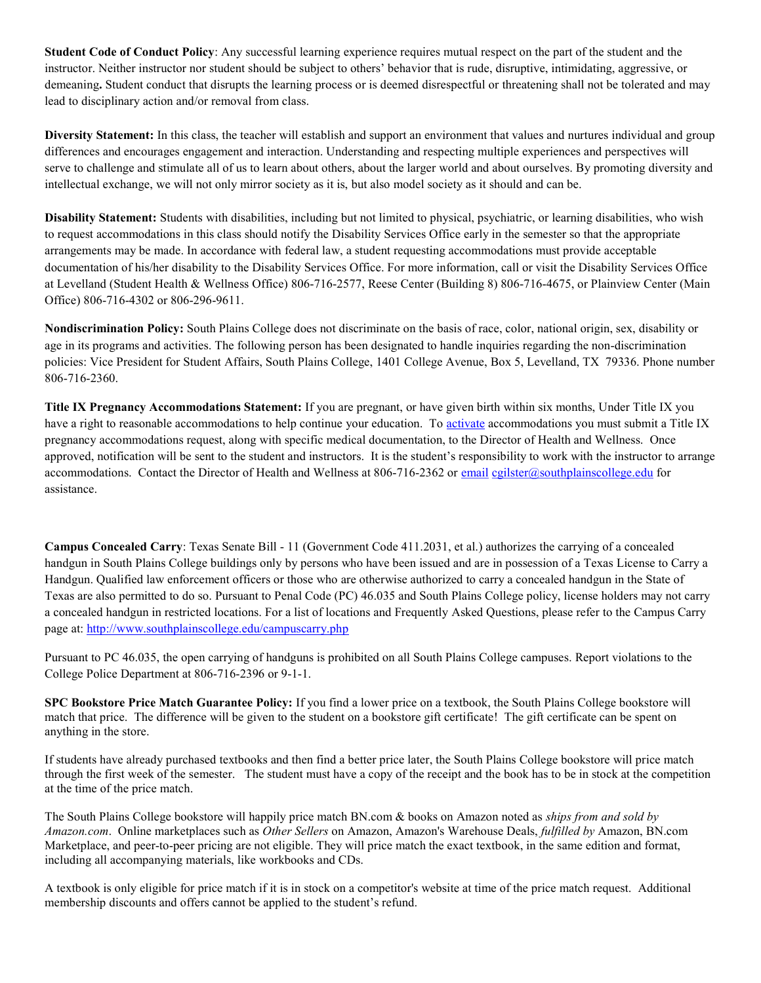Student Code of Conduct Policy: Any successful learning experience requires mutual respect on the part of the student and the instructor. Neither instructor nor student should be subject to others' behavior that is rude, disruptive, intimidating, aggressive, or demeaning. Student conduct that disrupts the learning process or is deemed disrespectful or threatening shall not be tolerated and may lead to disciplinary action and/or removal from class.

Diversity Statement: In this class, the teacher will establish and support an environment that values and nurtures individual and group differences and encourages engagement and interaction. Understanding and respecting multiple experiences and perspectives will serve to challenge and stimulate all of us to learn about others, about the larger world and about ourselves. By promoting diversity and intellectual exchange, we will not only mirror society as it is, but also model society as it should and can be.

Disability Statement: Students with disabilities, including but not limited to physical, psychiatric, or learning disabilities, who wish to request accommodations in this class should notify the Disability Services Office early in the semester so that the appropriate arrangements may be made. In accordance with federal law, a student requesting accommodations must provide acceptable documentation of his/her disability to the Disability Services Office. For more information, call or visit the Disability Services Office at Levelland (Student Health & Wellness Office) 806-716-2577, Reese Center (Building 8) 806-716-4675, or Plainview Center (Main Office) 806-716-4302 or 806-296-9611.

Nondiscrimination Policy: South Plains College does not discriminate on the basis of race, color, national origin, sex, disability or age in its programs and activities. The following person has been designated to handle inquiries regarding the non-discrimination policies: Vice President for Student Affairs, South Plains College, 1401 College Avenue, Box 5, Levelland, TX 79336. Phone number 806-716-2360.

Title IX Pregnancy Accommodations Statement: If you are pregnant, or have given birth within six months, Under Title IX you have a right to reasonable accommodations to help continue your education. To activate accommodations you must submit a Title IX pregnancy accommodations request, along with specific medical documentation, to the Director of Health and Wellness. Once approved, notification will be sent to the student and instructors. It is the student's responsibility to work with the instructor to arrange accommodations. Contact the Director of Health and Wellness at 806-716-2362 or email cgilster@southplainscollege.edu for assistance.

Campus Concealed Carry: Texas Senate Bill - 11 (Government Code 411.2031, et al.) authorizes the carrying of a concealed handgun in South Plains College buildings only by persons who have been issued and are in possession of a Texas License to Carry a Handgun. Qualified law enforcement officers or those who are otherwise authorized to carry a concealed handgun in the State of Texas are also permitted to do so. Pursuant to Penal Code (PC) 46.035 and South Plains College policy, license holders may not carry a concealed handgun in restricted locations. For a list of locations and Frequently Asked Questions, please refer to the Campus Carry page at: http://www.southplainscollege.edu/campuscarry.php

Pursuant to PC 46.035, the open carrying of handguns is prohibited on all South Plains College campuses. Report violations to the College Police Department at 806-716-2396 or 9-1-1.

SPC Bookstore Price Match Guarantee Policy: If you find a lower price on a textbook, the South Plains College bookstore will match that price. The difference will be given to the student on a bookstore gift certificate! The gift certificate can be spent on anything in the store.

If students have already purchased textbooks and then find a better price later, the South Plains College bookstore will price match through the first week of the semester. The student must have a copy of the receipt and the book has to be in stock at the competition at the time of the price match.

The South Plains College bookstore will happily price match BN.com & books on Amazon noted as *ships from and sold by* Amazon.com. Online marketplaces such as Other Sellers on Amazon, Amazon's Warehouse Deals, fulfilled by Amazon, BN.com Marketplace, and peer-to-peer pricing are not eligible. They will price match the exact textbook, in the same edition and format, including all accompanying materials, like workbooks and CDs.

A textbook is only eligible for price match if it is in stock on a competitor's website at time of the price match request. Additional membership discounts and offers cannot be applied to the student's refund.